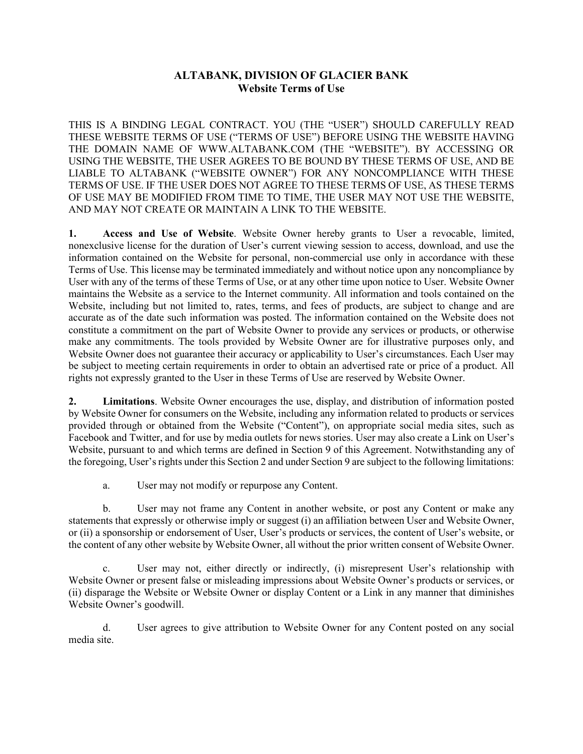# **ALTABANK, DIVISION OF GLACIER BANK Website Terms of Use**

THIS IS A BINDING LEGAL CONTRACT. YOU (THE "USER") SHOULD CAREFULLY READ THESE WEBSITE TERMS OF USE ("TERMS OF USE") BEFORE USING THE WEBSITE HAVING THE DOMAIN NAME OF WWW.ALTABANK.COM (THE "WEBSITE"). BY ACCESSING OR USING THE WEBSITE, THE USER AGREES TO BE BOUND BY THESE TERMS OF USE, AND BE LIABLE TO ALTABANK ("WEBSITE OWNER") FOR ANY NONCOMPLIANCE WITH THESE TERMS OF USE. IF THE USER DOES NOT AGREE TO THESE TERMS OF USE, AS THESE TERMS OF USE MAY BE MODIFIED FROM TIME TO TIME, THE USER MAY NOT USE THE WEBSITE, AND MAY NOT CREATE OR MAINTAIN A LINK TO THE WEBSITE.

**1. Access and Use of Website**. Website Owner hereby grants to User a revocable, limited, nonexclusive license for the duration of User's current viewing session to access, download, and use the information contained on the Website for personal, non-commercial use only in accordance with these Terms of Use. This license may be terminated immediately and without notice upon any noncompliance by User with any of the terms of these Terms of Use, or at any other time upon notice to User. Website Owner maintains the Website as a service to the Internet community. All information and tools contained on the Website, including but not limited to, rates, terms, and fees of products, are subject to change and are accurate as of the date such information was posted. The information contained on the Website does not constitute a commitment on the part of Website Owner to provide any services or products, or otherwise make any commitments. The tools provided by Website Owner are for illustrative purposes only, and Website Owner does not guarantee their accuracy or applicability to User's circumstances. Each User may be subject to meeting certain requirements in order to obtain an advertised rate or price of a product. All rights not expressly granted to the User in these Terms of Use are reserved by Website Owner.

**2. Limitations**. Website Owner encourages the use, display, and distribution of information posted by Website Owner for consumers on the Website, including any information related to products or services provided through or obtained from the Website ("Content"), on appropriate social media sites, such as Facebook and Twitter, and for use by media outlets for news stories. User may also create a Link on User's Website, pursuant to and which terms are defined in Section 9 of this Agreement. Notwithstanding any of the foregoing, User's rights under this Section 2 and under Section 9 are subject to the following limitations:

a. User may not modify or repurpose any Content.

b. User may not frame any Content in another website, or post any Content or make any statements that expressly or otherwise imply or suggest (i) an affiliation between User and Website Owner, or (ii) a sponsorship or endorsement of User, User's products or services, the content of User's website, or the content of any other website by Website Owner, all without the prior written consent of Website Owner.

c. User may not, either directly or indirectly, (i) misrepresent User's relationship with Website Owner or present false or misleading impressions about Website Owner's products or services, or (ii) disparage the Website or Website Owner or display Content or a Link in any manner that diminishes Website Owner's goodwill.

d. User agrees to give attribution to Website Owner for any Content posted on any social media site.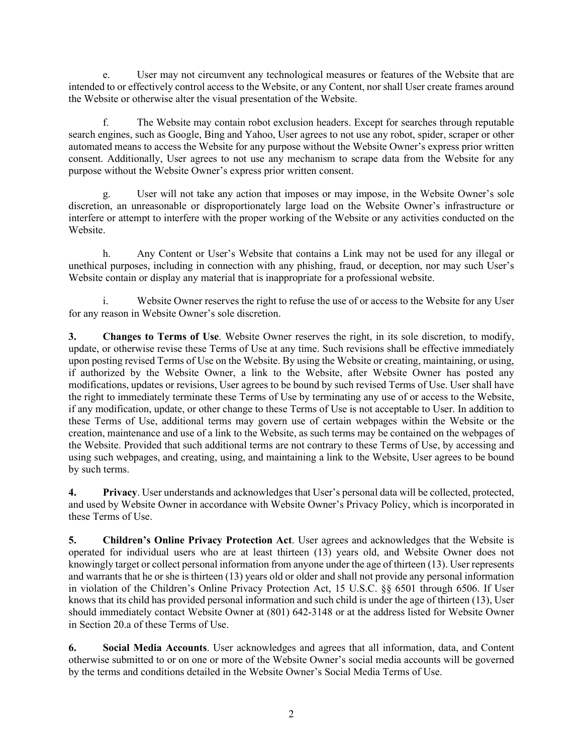e. User may not circumvent any technological measures or features of the Website that are intended to or effectively control access to the Website, or any Content, nor shall User create frames around the Website or otherwise alter the visual presentation of the Website.

f. The Website may contain robot exclusion headers. Except for searches through reputable search engines, such as Google, Bing and Yahoo, User agrees to not use any robot, spider, scraper or other automated means to access the Website for any purpose without the Website Owner's express prior written consent. Additionally, User agrees to not use any mechanism to scrape data from the Website for any purpose without the Website Owner's express prior written consent.

g. User will not take any action that imposes or may impose, in the Website Owner's sole discretion, an unreasonable or disproportionately large load on the Website Owner's infrastructure or interfere or attempt to interfere with the proper working of the Website or any activities conducted on the Website.

h. Any Content or User's Website that contains a Link may not be used for any illegal or unethical purposes, including in connection with any phishing, fraud, or deception, nor may such User's Website contain or display any material that is inappropriate for a professional website.

i. Website Owner reserves the right to refuse the use of or access to the Website for any User for any reason in Website Owner's sole discretion.

**3. Changes to Terms of Use**. Website Owner reserves the right, in its sole discretion, to modify, update, or otherwise revise these Terms of Use at any time. Such revisions shall be effective immediately upon posting revised Terms of Use on the Website. By using the Website or creating, maintaining, or using, if authorized by the Website Owner, a link to the Website, after Website Owner has posted any modifications, updates or revisions, User agrees to be bound by such revised Terms of Use. User shall have the right to immediately terminate these Terms of Use by terminating any use of or access to the Website, if any modification, update, or other change to these Terms of Use is not acceptable to User. In addition to these Terms of Use, additional terms may govern use of certain webpages within the Website or the creation, maintenance and use of a link to the Website, as such terms may be contained on the webpages of the Website. Provided that such additional terms are not contrary to these Terms of Use, by accessing and using such webpages, and creating, using, and maintaining a link to the Website, User agrees to be bound by such terms.

**4. Privacy**. User understands and acknowledges that User's personal data will be collected, protected, and used by Website Owner in accordance with Website Owner's Privacy Policy, which is incorporated in these Terms of Use.

**5. Children's Online Privacy Protection Act**. User agrees and acknowledges that the Website is operated for individual users who are at least thirteen (13) years old, and Website Owner does not knowingly target or collect personal information from anyone under the age of thirteen (13). User represents and warrants that he or she is thirteen (13) years old or older and shall not provide any personal information in violation of the Children's Online Privacy Protection Act, 15 U.S.C. §§ 6501 through 6506. If User knows that its child has provided personal information and such child is under the age of thirteen (13), User should immediately contact Website Owner at (801) 642-3148 or at the address listed for Website Owner in Section 20.a of these Terms of Use.

**6. Social Media Accounts**. User acknowledges and agrees that all information, data, and Content otherwise submitted to or on one or more of the Website Owner's social media accounts will be governed by the terms and conditions detailed in the Website Owner's Social Media Terms of Use.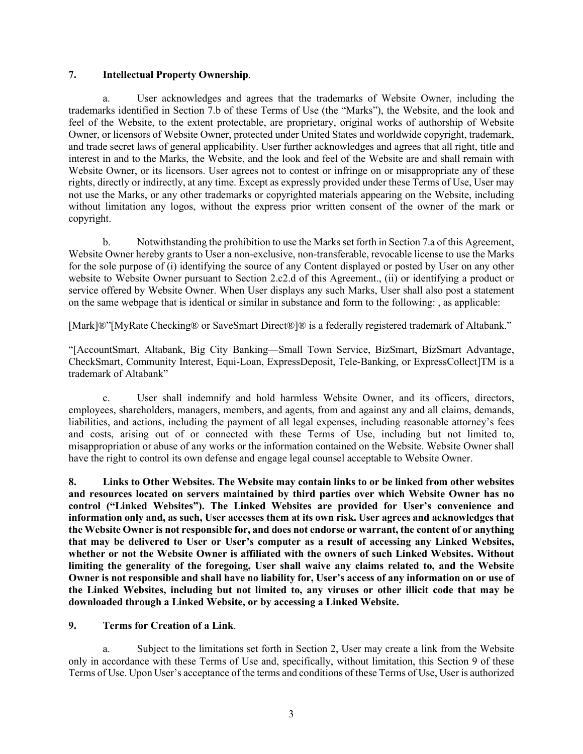#### **7. Intellectual Property Ownership**.

a. User acknowledges and agrees that the trademarks of Website Owner, including the trademarks identified in Section 7.b of these Terms of Use (the "Marks"), the Website, and the look and feel of the Website, to the extent protectable, are proprietary, original works of authorship of Website Owner, or licensors of Website Owner, protected under United States and worldwide copyright, trademark, and trade secret laws of general applicability. User further acknowledges and agrees that all right, title and interest in and to the Marks, the Website, and the look and feel of the Website are and shall remain with Website Owner, or its licensors. User agrees not to contest or infringe on or misappropriate any of these rights, directly or indirectly, at any time. Except as expressly provided under these Terms of Use, User may not use the Marks, or any other trademarks or copyrighted materials appearing on the Website, including without limitation any logos, without the express prior written consent of the owner of the mark or copyright.

b. Notwithstanding the prohibition to use the Marks set forth in Section 7.a of this Agreement, Website Owner hereby grants to User a non-exclusive, non-transferable, revocable license to use the Marks for the sole purpose of (i) identifying the source of any Content displayed or posted by User on any other website to Website Owner pursuant to Section 2.c2.d of this Agreement., (ii) or identifying a product or service offered by Website Owner. When User displays any such Marks, User shall also post a statement on the same webpage that is identical or similar in substance and form to the following: , as applicable:

[Mark]®"[MyRate Checking® or SaveSmart Direct®]® is a federally registered trademark of Altabank."

"[AccountSmart, Altabank, Big City Banking—Small Town Service, BizSmart, BizSmart Advantage, CheckSmart, Community Interest, Equi-Loan, ExpressDeposit, Tele-Banking, or ExpressCollect]TM is a trademark of Altabank"

c. User shall indemnify and hold harmless Website Owner, and its officers, directors, employees, shareholders, managers, members, and agents, from and against any and all claims, demands, liabilities, and actions, including the payment of all legal expenses, including reasonable attorney's fees and costs, arising out of or connected with these Terms of Use, including but not limited to, misappropriation or abuse of any works or the information contained on the Website. Website Owner shall have the right to control its own defense and engage legal counsel acceptable to Website Owner.

**8. Links to Other Websites. The Website may contain links to or be linked from other websites and resources located on servers maintained by third parties over which Website Owner has no control ("Linked Websites"). The Linked Websites are provided for User's convenience and information only and, as such, User accesses them at its own risk. User agrees and acknowledges that the Website Owner is not responsible for, and does not endorse or warrant, the content of or anything that may be delivered to User or User's computer as a result of accessing any Linked Websites, whether or not the Website Owner is affiliated with the owners of such Linked Websites. Without limiting the generality of the foregoing, User shall waive any claims related to, and the Website Owner is not responsible and shall have no liability for, User's access of any information on or use of the Linked Websites, including but not limited to, any viruses or other illicit code that may be downloaded through a Linked Website, or by accessing a Linked Website.**

## **9. Terms for Creation of a Link**.

a. Subject to the limitations set forth in Section 2, User may create a link from the Website only in accordance with these Terms of Use and, specifically, without limitation, this Section 9 of these Terms of Use. Upon User's acceptance of the terms and conditions of these Terms of Use, User is authorized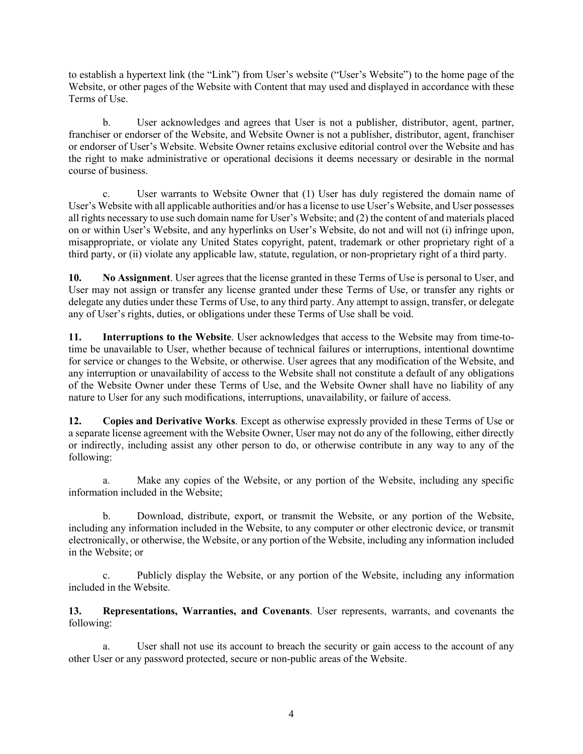to establish a hypertext link (the "Link") from User's website ("User's Website") to the home page of the Website, or other pages of the Website with Content that may used and displayed in accordance with these Terms of Use.

b. User acknowledges and agrees that User is not a publisher, distributor, agent, partner, franchiser or endorser of the Website, and Website Owner is not a publisher, distributor, agent, franchiser or endorser of User's Website. Website Owner retains exclusive editorial control over the Website and has the right to make administrative or operational decisions it deems necessary or desirable in the normal course of business.

c. User warrants to Website Owner that (1) User has duly registered the domain name of User's Website with all applicable authorities and/or has a license to use User's Website, and User possesses all rights necessary to use such domain name for User's Website; and (2) the content of and materials placed on or within User's Website, and any hyperlinks on User's Website, do not and will not (i) infringe upon, misappropriate, or violate any United States copyright, patent, trademark or other proprietary right of a third party, or (ii) violate any applicable law, statute, regulation, or non-proprietary right of a third party.

**10. No Assignment**. User agrees that the license granted in these Terms of Use is personal to User, and User may not assign or transfer any license granted under these Terms of Use, or transfer any rights or delegate any duties under these Terms of Use, to any third party. Any attempt to assign, transfer, or delegate any of User's rights, duties, or obligations under these Terms of Use shall be void.

**11. Interruptions to the Website**. User acknowledges that access to the Website may from time-totime be unavailable to User, whether because of technical failures or interruptions, intentional downtime for service or changes to the Website, or otherwise. User agrees that any modification of the Website, and any interruption or unavailability of access to the Website shall not constitute a default of any obligations of the Website Owner under these Terms of Use, and the Website Owner shall have no liability of any nature to User for any such modifications, interruptions, unavailability, or failure of access.

**12. Copies and Derivative Works**. Except as otherwise expressly provided in these Terms of Use or a separate license agreement with the Website Owner, User may not do any of the following, either directly or indirectly, including assist any other person to do, or otherwise contribute in any way to any of the following:

a. Make any copies of the Website, or any portion of the Website, including any specific information included in the Website;

b. Download, distribute, export, or transmit the Website, or any portion of the Website, including any information included in the Website, to any computer or other electronic device, or transmit electronically, or otherwise, the Website, or any portion of the Website, including any information included in the Website; or

c. Publicly display the Website, or any portion of the Website, including any information included in the Website.

**13. Representations, Warranties, and Covenants**. User represents, warrants, and covenants the following:

a. User shall not use its account to breach the security or gain access to the account of any other User or any password protected, secure or non-public areas of the Website.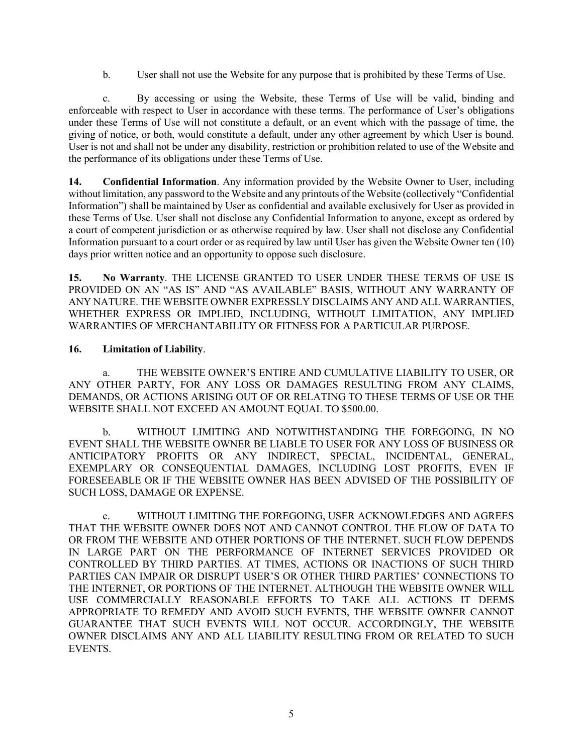b. User shall not use the Website for any purpose that is prohibited by these Terms of Use.

c. By accessing or using the Website, these Terms of Use will be valid, binding and enforceable with respect to User in accordance with these terms. The performance of User's obligations under these Terms of Use will not constitute a default, or an event which with the passage of time, the giving of notice, or both, would constitute a default, under any other agreement by which User is bound. User is not and shall not be under any disability, restriction or prohibition related to use of the Website and the performance of its obligations under these Terms of Use.

**14. Confidential Information**. Any information provided by the Website Owner to User, including without limitation, any password to the Website and any printouts of the Website (collectively "Confidential Information") shall be maintained by User as confidential and available exclusively for User as provided in these Terms of Use. User shall not disclose any Confidential Information to anyone, except as ordered by a court of competent jurisdiction or as otherwise required by law. User shall not disclose any Confidential Information pursuant to a court order or as required by law until User has given the Website Owner ten (10) days prior written notice and an opportunity to oppose such disclosure.

**15. No Warranty**. THE LICENSE GRANTED TO USER UNDER THESE TERMS OF USE IS PROVIDED ON AN "AS IS" AND "AS AVAILABLE" BASIS, WITHOUT ANY WARRANTY OF ANY NATURE. THE WEBSITE OWNER EXPRESSLY DISCLAIMS ANY AND ALL WARRANTIES, WHETHER EXPRESS OR IMPLIED, INCLUDING, WITHOUT LIMITATION, ANY IMPLIED WARRANTIES OF MERCHANTABILITY OR FITNESS FOR A PARTICULAR PURPOSE.

### **16. Limitation of Liability**.

a. THE WEBSITE OWNER'S ENTIRE AND CUMULATIVE LIABILITY TO USER, OR ANY OTHER PARTY, FOR ANY LOSS OR DAMAGES RESULTING FROM ANY CLAIMS, DEMANDS, OR ACTIONS ARISING OUT OF OR RELATING TO THESE TERMS OF USE OR THE WEBSITE SHALL NOT EXCEED AN AMOUNT EQUAL TO \$500.00.

b. WITHOUT LIMITING AND NOTWITHSTANDING THE FOREGOING, IN NO EVENT SHALL THE WEBSITE OWNER BE LIABLE TO USER FOR ANY LOSS OF BUSINESS OR ANTICIPATORY PROFITS OR ANY INDIRECT, SPECIAL, INCIDENTAL, GENERAL, EXEMPLARY OR CONSEQUENTIAL DAMAGES, INCLUDING LOST PROFITS, EVEN IF FORESEEABLE OR IF THE WEBSITE OWNER HAS BEEN ADVISED OF THE POSSIBILITY OF SUCH LOSS, DAMAGE OR EXPENSE.

c. WITHOUT LIMITING THE FOREGOING, USER ACKNOWLEDGES AND AGREES THAT THE WEBSITE OWNER DOES NOT AND CANNOT CONTROL THE FLOW OF DATA TO OR FROM THE WEBSITE AND OTHER PORTIONS OF THE INTERNET. SUCH FLOW DEPENDS IN LARGE PART ON THE PERFORMANCE OF INTERNET SERVICES PROVIDED OR CONTROLLED BY THIRD PARTIES. AT TIMES, ACTIONS OR INACTIONS OF SUCH THIRD PARTIES CAN IMPAIR OR DISRUPT USER'S OR OTHER THIRD PARTIES' CONNECTIONS TO THE INTERNET, OR PORTIONS OF THE INTERNET. ALTHOUGH THE WEBSITE OWNER WILL USE COMMERCIALLY REASONABLE EFFORTS TO TAKE ALL ACTIONS IT DEEMS APPROPRIATE TO REMEDY AND AVOID SUCH EVENTS, THE WEBSITE OWNER CANNOT GUARANTEE THAT SUCH EVENTS WILL NOT OCCUR. ACCORDINGLY, THE WEBSITE OWNER DISCLAIMS ANY AND ALL LIABILITY RESULTING FROM OR RELATED TO SUCH EVENTS.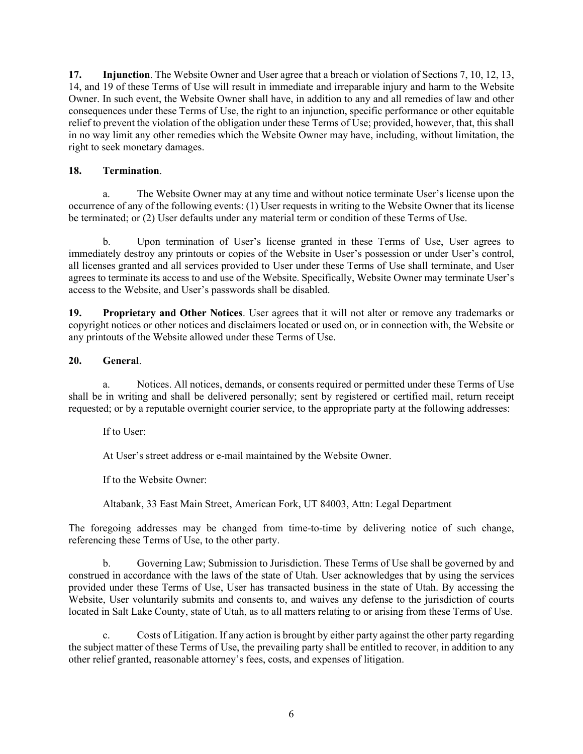**17. Injunction**. The Website Owner and User agree that a breach or violation of Sections 7, 10, 12, 13, 14, and 19 of these Terms of Use will result in immediate and irreparable injury and harm to the Website Owner. In such event, the Website Owner shall have, in addition to any and all remedies of law and other consequences under these Terms of Use, the right to an injunction, specific performance or other equitable relief to prevent the violation of the obligation under these Terms of Use; provided, however, that, this shall in no way limit any other remedies which the Website Owner may have, including, without limitation, the right to seek monetary damages.

## **18. Termination**.

a. The Website Owner may at any time and without notice terminate User's license upon the occurrence of any of the following events: (1) User requests in writing to the Website Owner that its license be terminated; or (2) User defaults under any material term or condition of these Terms of Use.

b. Upon termination of User's license granted in these Terms of Use, User agrees to immediately destroy any printouts or copies of the Website in User's possession or under User's control, all licenses granted and all services provided to User under these Terms of Use shall terminate, and User agrees to terminate its access to and use of the Website. Specifically, Website Owner may terminate User's access to the Website, and User's passwords shall be disabled.

**19. Proprietary and Other Notices**. User agrees that it will not alter or remove any trademarks or copyright notices or other notices and disclaimers located or used on, or in connection with, the Website or any printouts of the Website allowed under these Terms of Use.

## **20. General**.

a. Notices. All notices, demands, or consents required or permitted under these Terms of Use shall be in writing and shall be delivered personally; sent by registered or certified mail, return receipt requested; or by a reputable overnight courier service, to the appropriate party at the following addresses:

If to User:

At User's street address or e-mail maintained by the Website Owner.

If to the Website Owner:

Altabank, 33 East Main Street, American Fork, UT 84003, Attn: Legal Department

The foregoing addresses may be changed from time-to-time by delivering notice of such change, referencing these Terms of Use, to the other party.

b. Governing Law; Submission to Jurisdiction. These Terms of Use shall be governed by and construed in accordance with the laws of the state of Utah. User acknowledges that by using the services provided under these Terms of Use, User has transacted business in the state of Utah. By accessing the Website, User voluntarily submits and consents to, and waives any defense to the jurisdiction of courts located in Salt Lake County, state of Utah, as to all matters relating to or arising from these Terms of Use.

c. Costs of Litigation. If any action is brought by either party against the other party regarding the subject matter of these Terms of Use, the prevailing party shall be entitled to recover, in addition to any other relief granted, reasonable attorney's fees, costs, and expenses of litigation.